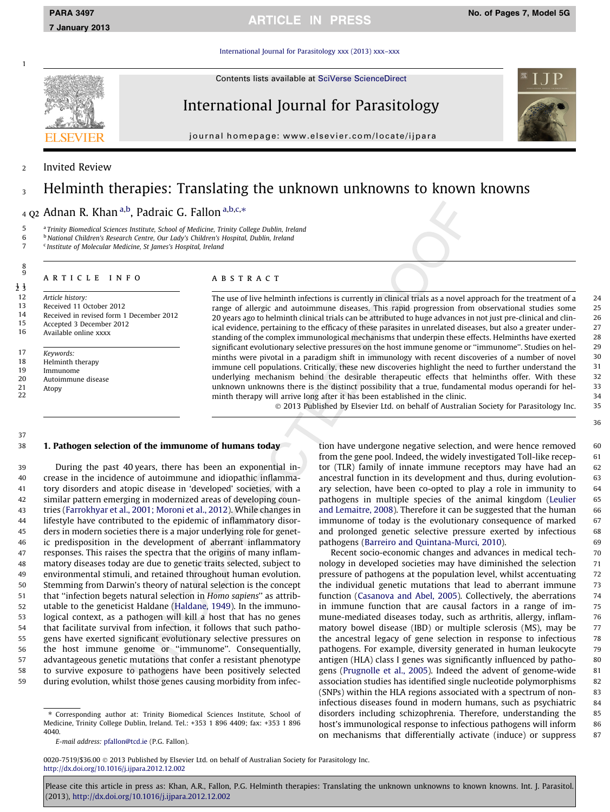[International Journal for Parasitology xxx \(2013\) xxx–xxx](http://dx.doi.org/10.1016/j.ijpara.2012.12.002)

Contents lists available at [SciVerse ScienceDirect](http://www.sciencedirect.com/science/journal/00207519)

International Journal for Parasitology

journal homepage: [www.elsevier.com/locate/ijpara](http://www.elsevier.com/locate/ijpara)

# **Invited Review**

# <sup>3</sup> Helminth therapies: Translating the unknown unknowns to known knowns

 $_4$  Q<sub>2</sub> Adnan R. Khan a,b, Padraic G. Fallon a,b,c,\*

5 <sup>a</sup> Trinity Biomedical Sciences Institute, School of Medicine, Trinity College Dublin, Ireland

 $6$  b National Children's Research Centre, Our Lady's Children's Hospital, Dublin, Ireland<br>  $7$  S Institute of Molecular Medicine St Iames's Hospital Ireland

<sup>c</sup> Institute of Molecular Medicine, St James's Hospital, Ireland

# article info

1 1 2 3

8 9

1

12 Article history:<br>13 Received 11.0

13 Received 11 October 2012<br>14 Received in revised form 1

14 Received in revised form 1 December 2012

15 Accepted 3 December 2012<br>16 Available online xxxx

16 Available online xxxx

17 Keywords:<br>18 Holminth

18 Helminth therapy<br>19 Immunome

19 Immunome

Autoimmune disease

21 Atopy 22

37

# ABSTRACT

The use of live helminth infections is currently in clinical trials as a novel approach for the treatment of a 24 range of allergic and autoimmune diseases. This rapid progression from observational studies some 25 20 years ago to helminth clinical trials can be attributed to huge advances in not just pre-clinical and clin- 26 ical evidence, pertaining to the efficacy of these parasites in unrelated diseases, but also a greater under- 27 standing of the complex immunological mechanisms that underpin these effects. Helminths have exerted 28 significant evolutionary selective pressures on the host immune genome or ''immunome''. Studies on hel- 29 minths were pivotal in a paradigm shift in immunology with recent discoveries of a number of novel 30 immune cell populations. Critically, these new discoveries highlight the need to further understand the 31 underlying mechanism behind the desirable therapeutic effects that helminths offer. With these 32 unknown unknowns there is the distinct possibility that a true, fundamental modus operandi for hel- 33 minth therapy will arrive long after it has been established in the clinic. 34

© 2013 Published by Elsevier Ltd. on behalf of Australian Society for Parasitology Inc. 35

# 38 1. Pathogen selection of the immunome of humans today

 During the past 40 years, there has been an exponential in- crease in the incidence of autoimmune and idiopathic inflamma- tory disorders and atopic disease in 'developed' societies, with a similar pattern emerging in modernized areas of developing coun- tries [\(Farrokhyar et al., 2001; Moroni et al., 2012\)](#page-5-0). While changes in lifestyle have contributed to the epidemic of inflammatory disor- ders in modern societies there is a major underlying role for genet- ic predisposition in the development of aberrant inflammatory responses. This raises the spectra that the origins of many inflam- matory diseases today are due to genetic traits selected, subject to environmental stimuli, and retained throughout human evolution. Stemming from Darwin's theory of natural selection is the concept that ''infection begets natural selection in Homo sapiens'' as attrib- utable to the geneticist Haldane ([Haldane, 1949](#page-5-0)). In the immuno- logical context, as a pathogen will kill a host that has no genes that facilitate survival from infection, it follows that such patho- gens have exerted significant evolutionary selective pressures on the host immune genome or ''immunome''. Consequentially, advantageous genetic mutations that confer a resistant phenotype to survive exposure to pathogens have been positively selected during evolution, whilst those genes causing morbidity from infec-

⇑ Corresponding author at: Trinity Biomedical Sciences Institute, School of Medicine, Trinity College Dublin, Ireland. Tel.: +353 1 896 4409; fax: +353 1 896 4040.

tion have undergone negative selection, and were hence removed 60 from the gene pool. Indeed, the widely investigated Toll-like recep- 61 tor (TLR) family of innate immune receptors may have had an 62 ancestral function in its development and thus, during evolution- 63 ary selection, have been co-opted to play a role in immunity to 64 pathogens in multiple species of the animal kingdom ([Leulier](#page-5-0) 65 [and Lemaitre, 2008](#page-5-0)). Therefore it can be suggested that the human 66 immunome of today is the evolutionary consequence of marked 67 and prolonged genetic selective pressure exerted by infectious 68 pathogens [\(Barreiro and Quintana-Murci, 2010\)](#page-5-0). 69

Recent socio-economic changes and advances in medical tech-<br>
70 nology in developed societies may have diminished the selection 71 pressure of pathogens at the population level, whilst accentuating 72 the individual genetic mutations that lead to aberrant immune 73 function ([Casanova and Abel, 2005\)](#page-5-0). Collectively, the aberrations 74 in immune function that are causal factors in a range of im- 75 mune-mediated diseases today, such as arthritis, allergy, inflam- 76 matory bowel disease (IBD) or multiple sclerosis (MS), may be 77 the ancestral legacy of gene selection in response to infectious 78 pathogens. For example, diversity generated in human leukocyte 79 antigen (HLA) class I genes was significantly influenced by patho-<br>80 gens [\(Prugnolle et al., 2005\)](#page-6-0). Indeed the advent of genome-wide 81 association studies has identified single nucleotide polymorphisms 82 (SNPs) within the HLA regions associated with a spectrum of non- 83 infectious diseases found in modern humans, such as psychiatric 84 disorders including schizophrenia. Therefore, understanding the 85 host's immunological response to infectious pathogens will inform 86 on mechanisms that differentially activate (induce) or suppress 87

0020-7519/\$36.00 © 2013 Published by Elsevier Ltd. on behalf of Australian Society for Parasitology Inc. <http://dx.doi.org/10.1016/j.ijpara.2012.12.002>



E-mail address: [pfallon@tcd.ie](mailto:pfallon@tcd.ie) (P.G. Fallon).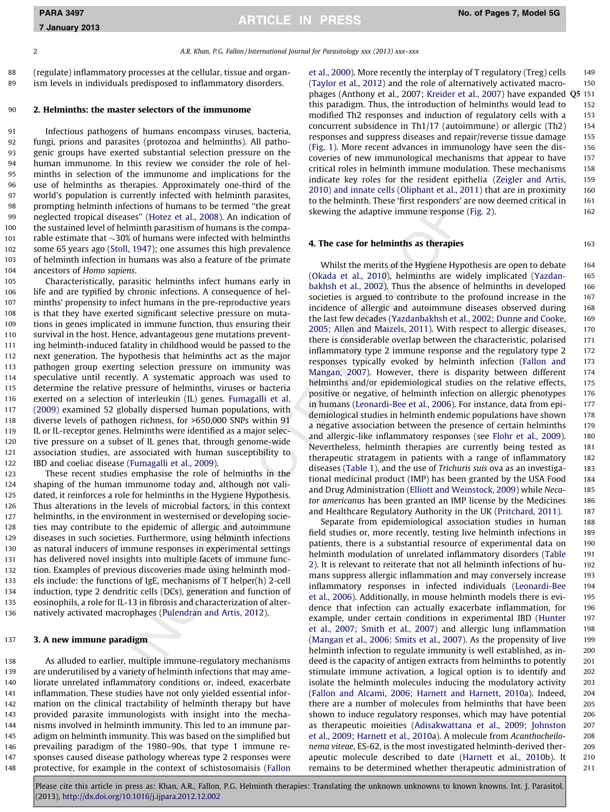7 January 2013

2 A.R. Khan, P.G. Fallon / International Journal for Parasitology xxx (2013) xxx-xxx

88 (regulate) inflammatory processes at the cellular, tissue and organ-89 ism levels in individuals predisposed to inflammatory disorders.

# 90 2. Helminths: the master selectors of the immunome

 Infectious pathogens of humans encompass viruses, bacteria, fungi, prions and parasites (protozoa and helminths). All patho- genic groups have exerted substantial selection pressure on the human immunome. In this review we consider the role of hel- minths in selection of the immunome and implications for the use of helminths as therapies. Approximately one-third of the world's population is currently infected with helminth parasites, prompting helminth infections of humans to be termed ''the great neglected tropical diseases'' [\(Hotez et al., 2008\)](#page-5-0). An indication of the sustained level of helminth parasitism of humans is the compa- $\blacksquare$  rable estimate that  $\sim$ 30% of humans were infected with helminths some 65 years ago ([Stoll, 1947](#page-6-0)); one assumes this high prevalence of helminth infection in humans was also a feature of the primate ancestors of Homo sapiens.

 Characteristically, parasitic helminths infect humans early in life and are typified by chronic infections. A consequence of hel- minths' propensity to infect humans in the pre-reproductive years is that they have exerted significant selective pressure on muta- tions in genes implicated in immune function, thus ensuring their survival in the host. Hence, advantageous gene mutations prevent- ing helminth-induced fatality in childhood would be passed to the next generation. The hypothesis that helminths act as the major pathogen group exerting selection pressure on immunity was speculative until recently. A systematic approach was used to determine the relative pressure of helminths, viruses or bacteria exerted on a selection of interleukin (IL) genes. [Fumagalli et al.](#page-5-0) [\(2009\)](#page-5-0) examined 52 globally dispersed human populations, with diverse levels of pathogen richness, for >650,000 SNPs within 91 IL or IL-receptor genes. Helminths were identified as a major selec- tive pressure on a subset of IL genes that, through genome-wide association studies, are associated with human susceptibility to IBD and coeliac disease [\(Fumagalli et al., 2009\)](#page-5-0).

 These recent studies emphasise the role of helminths in the shaping of the human immunome today and, although not vali- dated, it reinforces a role for helminths in the Hygiene Hypothesis. Thus alterations in the levels of microbial factors, in this context 127 helminths, in the environment in westernised or developing socie- ties may contribute to the epidemic of allergic and autoimmune diseases in such societies. Furthermore, using helminth infections as natural inducers of immune responses in experimental settings has delivered novel insights into multiple facets of immune func- tion. Examples of previous discoveries made using helminth mod- els include: the functions of IgE, mechanisms of T helper(h) 2-cell induction, type 2 dendritic cells (DCs), generation and function of eosinophils, a role for IL-13 in fibrosis and characterization of alter-natively activated macrophages ([Pulendran and Artis, 2012\)](#page-6-0).

### 137 3. A new immune paradigm

 As alluded to earlier, multiple immune-regulatory mechanisms are underutilised by a variety of helminth infections that may ame- liorate unrelated inflammatory conditions or, indeed, exacerbate inflammation. These studies have not only yielded essential infor- mation on the clinical tractability of helminth therapy but have provided parasite immunologists with insight into the mecha- nisms involved in helminth immunity. This led to an immune par-145 adigm on helminth immunity. This was based on the simplified but prevailing paradigm of the 1980–90s, that type 1 immune re- sponses caused disease pathology whereas type 2 responses were protective, for example in the context of schistosomaisis ([Fallon](#page-5-0)

[et al., 2000](#page-5-0)). More recently the interplay of T regulatory (Treg) cells 149 ([Taylor et al., 2012](#page-6-0)) and the role of alternatively activated macro- 150 phages (Anthony et al., 2007; [Kreider et al., 2007\)](#page-5-0) have expanded Q5 151 this paradigm. Thus, the introduction of helminths would lead to 152 modified Th2 responses and induction of regulatory cells with a 153 concurrent subsidence in Th1/17 (autoimmune) or allergic (Th2) 154 responses and suppress diseases and repair/reverse tissue damage 155 ([Fig. 1\)](#page-2-0). More recent advances in immunology have seen the dis- 156 coveries of new immunological mechanisms that appear to have 157 critical roles in helminth immune modulation. These mechanisms 158 indicate key roles for the resident epithelia ([Zeigler and Artis,](#page-6-0) 159 [2010\) and innate cells \(Oliphant et al., 2011](#page-5-0)) that are in proximity 160 to the helminth. These 'first responders' are now deemed critical in 161 skewing the adaptive immune response [\(Fig. 2\)](#page-2-0). 162

# **4. The case for helminths as therapies** 163

Whilst the merits of the Hygiene Hypothesis are open to debate 164 ([Okada et al., 2010\)](#page-5-0), helminths are widely implicated [\(Yazdan-](#page-6-0) 165 [bakhsh et al., 2002\)](#page-6-0). Thus the absence of helminths in developed 166 societies is argued to contribute to the profound increase in the 167 incidence of allergic and autoimmune diseases observed during 168 the last few decades ([Yazdanbakhsh et al., 2002; Dunne and Cooke,](#page-6-0) 169 [2005; Allen and Maizels, 2011\)](#page-6-0). With respect to allergic diseases, 170 there is considerable overlap between the characteristic, polarised 171 inflammatory type 2 immune response and the regulatory type 2 172 responses typically evoked by helminth infection ([Fallon and](#page-5-0) 173 [Mangan, 2007\)](#page-5-0). However, there is disparity between different 174 helminths and/or epidemiological studies on the relative effects, 175 positive or negative, of helminth infection on allergic phenotypes 176 in humans [\(Leonardi-Bee et al., 2006\)](#page-5-0). For instance, data from epi- 177 demiological studies in helminth endemic populations have shown 178 a negative association between the presence of certain helminths 179 and allergic-like inflammatory responses (see [Flohr et al., 2009\)](#page-5-0). 180 Nevertheless, helminth therapies are currently being tested as 181 therapeutic stratagem in patients with a range of inflammatory 182 diseases [\(Table 1\)](#page-3-0), and the use of Trichuris suis ova as an investiga- 183 tional medicinal product (IMP) has been granted by the USA Food 184 and Drug Administration [\(Elliott and Weinstock, 2009\)](#page-5-0) while Neca- 185 tor americanus has been granted an IMP license by the Medicines 186 and Healthcare Regulatory Authority in the UK [\(Pritchard, 2011](#page-6-0)). 187

Separate from epidemiological association studies in human 188 field studies or, more recently, testing live helminth infections in 189 patients, there is a substantial resource of experimental data on 190 helminth modulation of unrelated inflammatory disorders [\(Table](#page-4-0) 191 [2](#page-4-0)). It is relevant to reiterate that not all helminth infections of hu- 192 mans suppress allergic inflammation and may conversely increase 193 inflammatory responses in infected individuals [\(Leonardi-Bee](#page-5-0) 194 [et al., 2006\)](#page-5-0). Additionally, in mouse helminth models there is evi- 195 dence that infection can actually exacerbate inflammation, for 196 example, under certain conditions in experimental IBD [\(Hunter](#page-5-0) 197 [et al., 2007; Smith et al., 2007](#page-5-0)) and allergic lung inflammation 198 ([Mangan et al., 2006; Smits et al., 2007\)](#page-5-0). As the propensity of live 199 helminth infection to regulate immunity is well established, as in-<br>200 deed is the capacity of antigen extracts from helminths to potently 201 stimulate immune activation, a logical option is to identify and 202 isolate the helminth molecules inducing the modulatory activity 203 ([Fallon and Alcami, 2006; Harnett and Harnett, 2010a](#page-5-0)). Indeed, 204 there are a number of molecules from helminths that have been 205 shown to induce regulatory responses, which may have potential 206 as therapeutic moieities ([Adisakwattana et al., 2009; Johnston](#page-5-0) 207 [et al., 2009; Harnett et al., 2010a](#page-5-0)). A molecule from Acanthocheilo- 208 nema viteae, ES-62, is the most investigated helminth-derived ther- 209 apeutic molecule described to date ([Harnett et al., 2010b](#page-5-0)). It 210 remains to be determined whether therapeutic administration of 211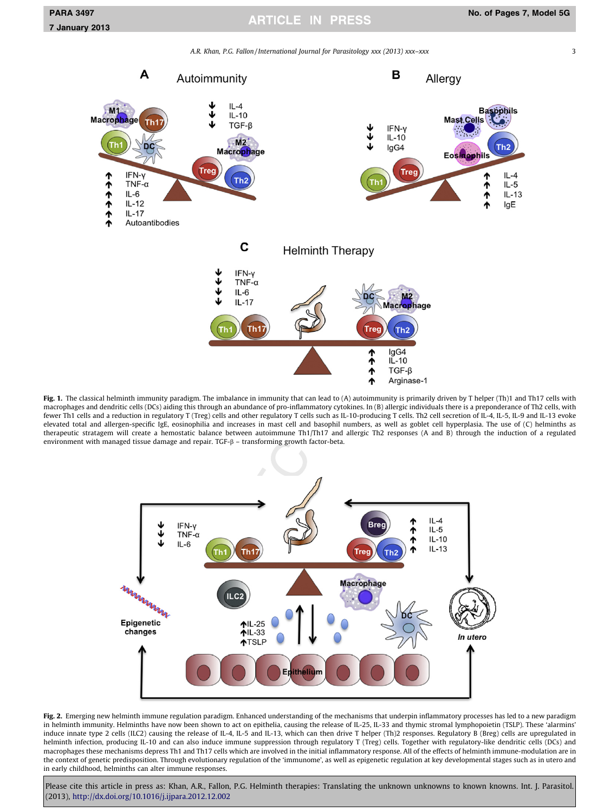A.R. Khan, P.G. Fallon / International Journal for Parasitology xxx (2013) xxx–xxx 3 3

<span id="page-2-0"></span>

Fig. 1. The classical helminth immunity paradigm. The imbalance in immunity that can lead to (A) autoimmunity is primarily driven by T helper (Th)1 and Th17 cells with macrophages and dendritic cells (DCs) aiding this through an abundance of pro-inflammatory cytokines. In (B) allergic individuals there is a preponderance of Th2 cells, with fewer Th1 cells and a reduction in regulatory T (Treg) cells and other regulatory T cells such as IL-10-producing T cells. Th2 cell secretion of IL-4, IL-5, IL-9 and IL-13 evoke elevated total and allergen-specific IgE, eosinophilia and increases in mast cell and basophil numbers, as well as goblet cell hyperplasia. The use of (C) helminths as therapeutic stratagem will create a hemostatic balance between autoimmune Th1/Th17 and allergic Th2 responses (A and B) through the induction of a regulated environment with managed tissue damage and repair. TGF- $\beta$  – transforming growth factor-beta.



Fig. 2. Emerging new helminth immune regulation paradigm. Enhanced understanding of the mechanisms that underpin inflammatory processes has led to a new paradigm in helminth immunity. Helminths have now been shown to act on epithelia, causing the release of IL-25, IL-33 and thymic stromal lymphopoietin (TSLP). These 'alarmins' induce innate type 2 cells (ILC2) causing the release of IL-4, IL-5 and IL-13, which can then drive T helper (Th)2 responses. Regulatory B (Breg) cells are upregulated in helminth infection, producing IL-10 and can also induce immune suppression through regulatory T (Treg) cells. Together with regulatory-like dendritic cells (DCs) and macrophages these mechanisms depress Th1 and Th17 cells which are involved in the initial inflammatory response. All of the effects of helminth immune-modulation are in the context of genetic predisposition. Through evolutionary regulation of the 'immunome', as well as epigenetic regulation at key developmental stages such as in utero and in early childhood, helminths can alter immune responses.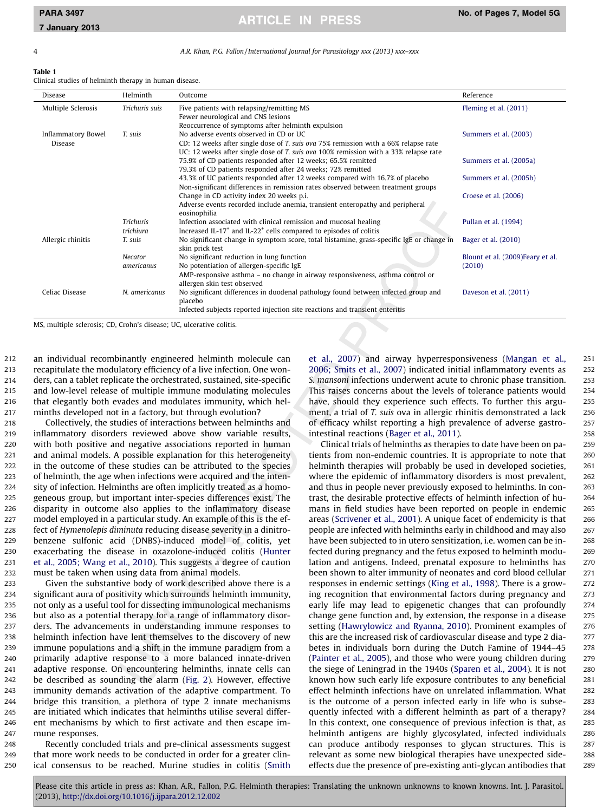<span id="page-3-0"></span>

4 A.R. Khan, P.G. Fallon / International Journal for Parasitology xxx (2013) xxx–xxx

### Table 1

Clinical studies of helminth therapy in human disease.

| Disease                   | Helminth         | Outcome                                                                                                     | Reference                         |  |
|---------------------------|------------------|-------------------------------------------------------------------------------------------------------------|-----------------------------------|--|
| Multiple Sclerosis        | Trichuris suis   | Five patients with relapsing/remitting MS                                                                   | Fleming et al. (2011)             |  |
|                           |                  | Fewer neurological and CNS lesions                                                                          |                                   |  |
|                           |                  | Reoccurrence of symptoms after helminth expulsion                                                           |                                   |  |
| <b>Inflammatory Bowel</b> | T. suis          | No adverse events observed in CD or UC                                                                      | Summers et al. (2003)             |  |
| <b>Disease</b>            |                  | CD: 12 weeks after single dose of T. suis ova 75% remission with a 66% relapse rate                         |                                   |  |
|                           |                  | UC: 12 weeks after single dose of T. suis ova 100% remission with a 33% relapse rate                        |                                   |  |
|                           |                  | 75.9% of CD patients responded after 12 weeks; 65.5% remitted                                               | Summers et al. (2005a)            |  |
|                           |                  | 79.3% of CD patients responded after 24 weeks; 72% remitted                                                 |                                   |  |
|                           |                  | 43.3% of UC patients responded after 12 weeks compared with 16.7% of placebo                                | Summers et al. (2005b)            |  |
|                           |                  | Non-significant differences in remission rates observed between treatment groups                            |                                   |  |
|                           |                  | Change in CD activity index 20 weeks p.i.                                                                   | Croese et al. (2006)              |  |
|                           |                  | Adverse events recorded include anemia, transient enteropathy and peripheral                                |                                   |  |
|                           |                  | eosinophilia                                                                                                |                                   |  |
|                           | <b>Trichuris</b> | Infection associated with clinical remission and mucosal healing                                            | Pullan et al. (1994)              |  |
|                           | trichiura        | Increased IL-17 <sup>+</sup> and IL-22 <sup>+</sup> cells compared to episodes of colitis                   |                                   |  |
| Allergic rhinitis         | T. suis          | No significant change in symptom score, total histamine, grass-specific IgE or change in<br>skin prick test | Bager et al. (2010)               |  |
|                           | <b>Necator</b>   | No significant reduction in lung function                                                                   | Blount et al. (2009) Feary et al. |  |
|                           | americanus       | No potentiation of allergen-specific IgE                                                                    | (2010)                            |  |
|                           |                  | AMP-responsive asthma - no change in airway responsiveness, asthma control or                               |                                   |  |
|                           |                  | allergen skin test observed                                                                                 |                                   |  |
| Celiac Disease            | N. americanus    | No significant differences in duodenal pathology found between infected group and<br>placebo                | Daveson et al. (2011)             |  |
|                           |                  | Infected subjects reported injection site reactions and transient enteritis                                 |                                   |  |

MS, multiple sclerosis; CD, Crohn's disease; UC, ulcerative colitis.

 an individual recombinantly engineered helminth molecule can recapitulate the modulatory efficiency of a live infection. One won- ders, can a tablet replicate the orchestrated, sustained, site-specific and low-level release of multiple immune modulating molecules that elegantly both evades and modulates immunity, which hel-minths developed not in a factory, but through evolution?

 Collectively, the studies of interactions between helminths and inflammatory disorders reviewed above show variable results, with both positive and negative associations reported in human and animal models. A possible explanation for this heterogeneity in the outcome of these studies can be attributed to the species of helminth, the age when infections were acquired and the inten- sity of infection. Helminths are often implicitly treated as a homo- geneous group, but important inter-species differences exist. The disparity in outcome also applies to the inflammatory disease model employed in a particular study. An example of this is the ef- fect of Hymenolepis diminuta reducing disease severity in a dinitro- benzene sulfonic acid (DNBS)-induced model of colitis, yet exacerbating the disease in oxazolone-induced colitis [\(Hunter](#page-5-0) [et al., 2005; Wang et al., 2010\)](#page-5-0). This suggests a degree of caution must be taken when using data from animal models.

 Given the substantive body of work described above there is a significant aura of positivity which surrounds helminth immunity, not only as a useful tool for dissecting immunological mechanisms but also as a potential therapy for a range of inflammatory disor- ders. The advancements in understanding immune responses to helminth infection have lent themselves to the discovery of new immune populations and a shift in the immune paradigm from a primarily adaptive response to a more balanced innate-driven adaptive response. On encountering helminths, innate cells can be described as sounding the alarm [\(Fig. 2](#page-2-0)). However, effective immunity demands activation of the adaptive compartment. To bridge this transition, a plethora of type 2 innate mechanisms are initiated which indicates that helminths utilise several differ- ent mechanisms by which to first activate and then escape im-mune responses.

248 Recently concluded trials and pre-clinical assessments suggest 249 that more work needs to be conducted in order for a greater clin-250 ical consensus to be reached. Murine studies in colitis [\(Smith](#page-6-0)

[et al., 2007\)](#page-6-0) and airway hyperresponsiveness [\(Mangan et al.,](#page-5-0) 251 [2006; Smits et al., 2007](#page-5-0)) indicated initial inflammatory events as 252 S. mansoni infections underwent acute to chronic phase transition. 253 This raises concerns about the levels of tolerance patients would 254 have, should they experience such effects. To further this argu-<br>255 ment, a trial of T. suis ova in allergic rhinitis demonstrated a lack 256 of efficacy whilst reporting a high prevalence of adverse gastro- 257 intestinal reactions [\(Bager et al., 2011](#page-5-0)). 258

Clinical trials of helminths as therapies to date have been on pa- 259 tients from non-endemic countries. It is appropriate to note that 260 helminth therapies will probably be used in developed societies, 261 where the epidemic of inflammatory disorders is most prevalent, 262 and thus in people never previously exposed to helminths. In con- 263 trast, the desirable protective effects of helminth infection of hu- 264 mans in field studies have been reported on people in endemic 265 areas [\(Scrivener et al., 2001\)](#page-6-0). A unique facet of endemicity is that 266 people are infected with helminths early in childhood and may also 267 have been subjected to in utero sensitization, i.e. women can be in-<br>268 fected during pregnancy and the fetus exposed to helminth modu- 269 lation and antigens. Indeed, prenatal exposure to helminths has 270 been shown to alter immunity of neonates and cord blood cellular 271 responses in endemic settings [\(King et al., 1998](#page-5-0)). There is a grow- 272 ing recognition that environmental factors during pregnancy and 273 early life may lead to epigenetic changes that can profoundly 274 change gene function and, by extension, the response in a disease 275 setting ([Hawrylowicz and Ryanna, 2010\)](#page-5-0). Prominent examples of 276 this are the increased risk of cardiovascular disease and type 2 dia- 277 betes in individuals born during the Dutch Famine of 1944–45 278 ([Painter et al., 2005](#page-6-0)), and those who were young children during 279 the siege of Leningrad in the 1940s [\(Sparen et al., 2004\)](#page-6-0). It is not 280 known how such early life exposure contributes to any beneficial 281 effect helminth infections have on unrelated inflammation. What 282 is the outcome of a person infected early in life who is subse- 283 quently infected with a different helminth as part of a therapy? 284 In this context, one consequence of previous infection is that, as 285 helminth antigens are highly glycosylated, infected individuals 286 can produce antibody responses to glycan structures. This is 287 relevant as some new biological therapies have unexpected side- 288 effects due the presence of pre-existing anti-glycan antibodies that 289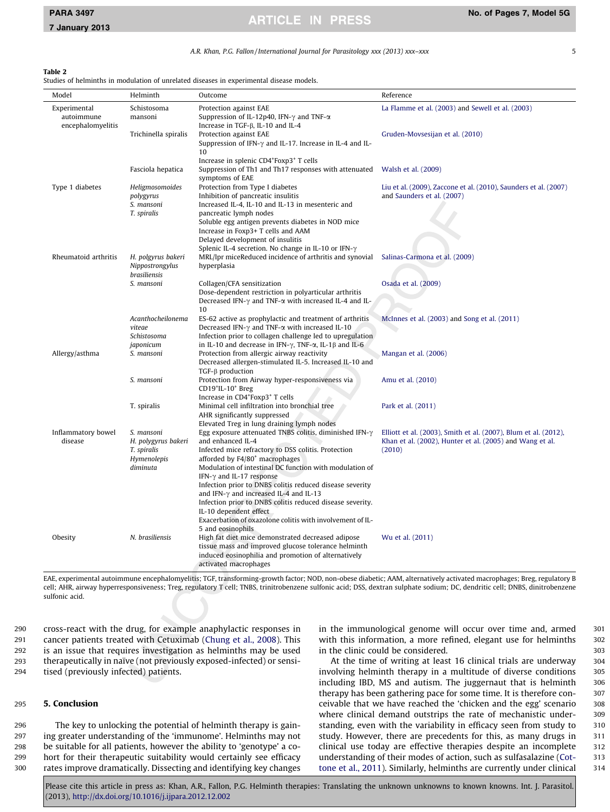A.R. Khan, P.G. Fallon / International Journal for Parasitology xxx (2013) xxx–xxx 5

### <span id="page-4-0"></span>Table 2

Studies of helminths in modulation of unrelated diseases in experimental disease models.

| Model                                           | Helminth                                                                    | Outcome                                                                                                                                                                                                                                                                                                                                             | Reference                                                                                                                             |
|-------------------------------------------------|-----------------------------------------------------------------------------|-----------------------------------------------------------------------------------------------------------------------------------------------------------------------------------------------------------------------------------------------------------------------------------------------------------------------------------------------------|---------------------------------------------------------------------------------------------------------------------------------------|
| Experimental<br>autoimmune<br>encephalomyelitis | Schistosoma<br>mansoni                                                      | Protection against EAE<br>Suppression of IL-12p40, IFN- $\gamma$ and TNF- $\alpha$<br>Increase in TGF- $\beta$ , IL-10 and IL-4                                                                                                                                                                                                                     | La Flamme et al. (2003) and Sewell et al. (2003)                                                                                      |
|                                                 | Trichinella spiralis                                                        | Protection against EAE<br>Suppression of IFN- $\gamma$ and IL-17. Increase in IL-4 and IL-<br>10                                                                                                                                                                                                                                                    | Gruden-Movsesijan et al. (2010)                                                                                                       |
|                                                 | Fasciola hepatica                                                           | Increase in splenic CD4 <sup>+</sup> Foxp3 <sup>+</sup> T cells<br>Suppression of Th1 and Th17 responses with attenuated<br>symptoms of EAE                                                                                                                                                                                                         | Walsh et al. (2009)                                                                                                                   |
| Type 1 diabetes                                 | Heligmosomoides<br>polygyrus<br>S. mansoni                                  | Protection from Type I diabetes<br>Inhibition of pancreatic insulitis<br>Increased IL-4, IL-10 and IL-13 in mesenteric and                                                                                                                                                                                                                          | Liu et al. (2009), Zaccone et al. (2010), Saunders et al. (2007)<br>and Saunders et al. (2007)                                        |
|                                                 | T. spiralis                                                                 | pancreatic lymph nodes<br>Soluble egg antigen prevents diabetes in NOD mice<br>Increase in Foxp3+ T cells and AAM<br>Delayed development of insulitis<br>Splenic IL-4 secretion. No change in IL-10 or IFN-γ                                                                                                                                        |                                                                                                                                       |
| Rheumatoid arthritis                            | H. polgyrus bakeri<br>Nippostrongylus<br>brasiliensis                       | MRL/lpr miceReduced incidence of arthritis and synovial<br>hyperplasia                                                                                                                                                                                                                                                                              | Salinas-Carmona et al. (2009)                                                                                                         |
|                                                 | S. mansoni                                                                  | Collagen/CFA sensitization<br>Dose-dependent restriction in polyarticular arthritis<br>Decreased IFN- $\gamma$ and TNF- $\alpha$ with increased IL-4 and IL-<br>10                                                                                                                                                                                  | Osada et al. (2009)                                                                                                                   |
|                                                 | Acanthocheilonema<br>viteae<br>Schistosoma<br>japonicum                     | ES-62 active as prophylactic and treatment of arthritis<br>Decreased IFN- $\gamma$ and TNF- $\alpha$ with increased IL-10<br>Infection prior to collagen challenge led to upregulation<br>in IL-10 and decrease in IFN- $\gamma$ , TNF- $\alpha$ , IL-1 $\beta$ and IL-6                                                                            | McInnes et al. (2003) and Song et al. (2011)                                                                                          |
| Allergy/asthma                                  | S. mansoni                                                                  | Protection from allergic airway reactivity<br>Decreased allergen-stimulated IL-5. Increased IL-10 and<br>$TGF-\beta$ production                                                                                                                                                                                                                     | Mangan et al. (2006)                                                                                                                  |
|                                                 | S. mansoni                                                                  | Protection from Airway hyper-responsiveness via<br>$CD19+IL-10+ Breg$<br>Increase in CD4 <sup>+</sup> Foxp3 <sup>+</sup> T cells                                                                                                                                                                                                                    | Amu et al. (2010)                                                                                                                     |
|                                                 | T. spiralis                                                                 | Minimal cell infiltration into bronchial tree<br>AHR significantly suppressed<br>Elevated Treg in lung draining lymph nodes                                                                                                                                                                                                                         | Park et al. (2011)                                                                                                                    |
| Inflammatory bowel<br>disease                   | S. mansoni<br>H. polygyrus bakeri<br>T. spiralis<br>Hymenolepis<br>diminuta | Egg exposure attenuated TNBS colitis, diminished IFN- $\gamma$<br>and enhanced IL-4<br>Infected mice refractory to DSS colitis. Protection<br>afforded by F4/80 <sup>+</sup> macrophages<br>Modulation of intestinal DC function with modulation of<br>IFN- $\gamma$ and IL-17 response<br>Infection prior to DNBS colitis reduced disease severity | Elliott et al. (2003), Smith et al. (2007), Blum et al. (2012),<br>Khan et al. (2002), Hunter et al. (2005) and Wang et al.<br>(2010) |
| Obesity                                         | N. brasiliensis                                                             | and IFN- $\gamma$ and increased IL-4 and IL-13<br>Infection prior to DNBS colitis reduced disease severity.<br>IL-10 dependent effect<br>Exacerbation of oxazolone colitis with involvement of IL-<br>5 and eosinophils<br>High fat diet mice demonstrated decreased adipose<br>tissue mass and improved glucose tolerance helminth                 | Wu et al. (2011)                                                                                                                      |
|                                                 |                                                                             | induced eosinophilia and promotion of alternatively<br>activated macrophages                                                                                                                                                                                                                                                                        |                                                                                                                                       |

EAE, experimental autoimmune encephalomyelitis; TGF, transforming-growth factor; NOD, non-obese diabetic; AAM, alternatively activated macrophages; Breg, regulatory B cell; AHR, airway hyperresponsiveness; Treg, regulatory T cell; TNBS, trinitrobenzene sulfonic acid; DSS, dextran sulphate sodium; DC, dendritic cell; DNBS, dinitrobenzene sulfonic acid.

 cross-react with the drug, for example anaphylactic responses in cancer patients treated with Cetuximab [\(Chung et al., 2008](#page-5-0)). This is an issue that requires investigation as helminths may be used therapeutically in naïve (not previously exposed-infected) or sensi-tised (previously infected) patients.

# 295 5. Conclusion

 The key to unlocking the potential of helminth therapy is gain- ing greater understanding of the 'immunome'. Helminths may not be suitable for all patients, however the ability to 'genotype' a co- hort for their therapeutic suitability would certainly see efficacy rates improve dramatically. Dissecting and identifying key changes in the immunological genome will occur over time and, armed 301 with this information, a more refined, elegant use for helminths 302 in the clinic could be considered.  $\frac{303}{20}$ 

At the time of writing at least 16 clinical trials are underway 304 involving helminth therapy in a multitude of diverse conditions 305 including IBD, MS and autism. The juggernaut that is helminth 306 therapy has been gathering pace for some time. It is therefore con-<br>307 ceivable that we have reached the 'chicken and the egg' scenario 308 where clinical demand outstrips the rate of mechanistic under-<br>309 standing, even with the variability in efficacy seen from study to 310 study. However, there are precedents for this, as many drugs in 311 clinical use today are effective therapies despite an incomplete 312 understanding of their modes of action, such as sulfasalazine ([Cot-](#page-5-0) 313 [tone et al., 2011\)](#page-5-0). Similarly, helminths are currently under clinical 314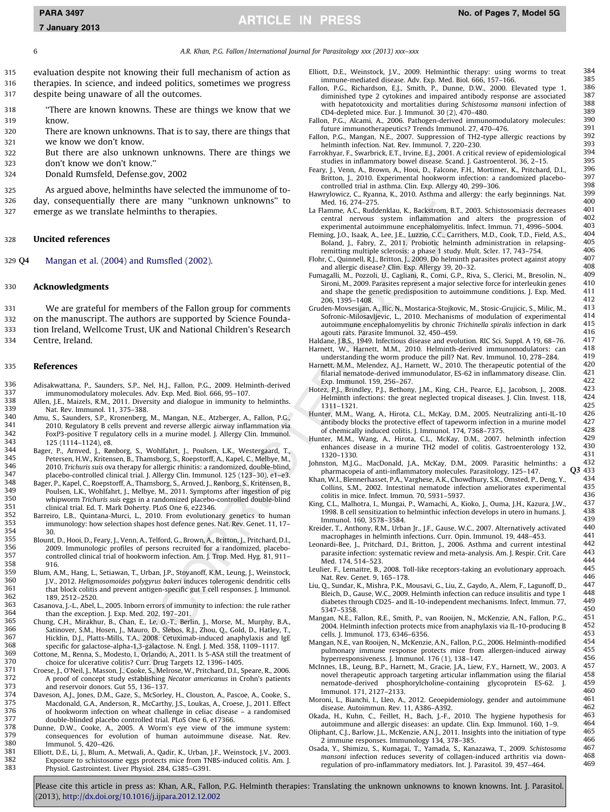<span id="page-5-0"></span>7 January 2013

6 A.R. Khan, P.G. Fallon / International Journal for Parasitology xxx (2013) xxx–xxx

315 evaluation despite not knowing their full mechanism of action as 316 therapies. In science, and indeed politics, sometimes we progress 317 despite being unaware of all the outcomes.

- 318 ''There are known knowns. These are things we know that we 319 know.
- 320 There are known unknowns. That is to say, there are things that 321 we know we don't know.
- 322 But there are also unknown unknowns. There are things we 323 don't know we don't know.''
- 324 Donald Rumsfeld, Defense.gov, 2002

325 As argued above, helminths have selected the immunome of to-326 day, consequentially there are many ''unknown unknowns'' to

327 emerge as we translate helminths to therapies.

# 328 Uncited references

329 Q4 Mangan et al. (2004) and Rumsfled (2002).

# 330 Acknowledgments

 We are grateful for members of the Fallon group for comments on the manuscript. The authors are supported by Science Founda- tion Ireland, Wellcome Trust, UK and National Children's Research Centre, Ireland.

# 335 References

- 336 Adisakwattana, P., Saunders, S.P., Nel, H.J., Fallon, P.G., 2009. Helminth-derived 337 immunomodulatory molecules. Adv. Exp. Med. Biol. 666, 95–107.
- 338 Allen, J.E., Maizels, R.M., 2011. Diversity and dialogue in immunity to helminths.<br>339 Nat Rev Immunol 11 375–388 339 Nat. Rev. Immunol. 11, 375–388.
- 340 Amu, S., Saunders, S.P., Kronenberg, M., Mangan, N.E., Atzberger, A., Fallon, P.G., 341 2010. Regulatory B cells prevent and reverse allergic airway inflammation via 341 2010. Regulatory B cells prevent and reverse allergic airway inflammation via  $342$  FoxP3-positive T regulatory cells in a murine model. J. Allergy Clin. Immunol.<br> $343$  125 (1114–1124) e8 343 125 (1114–1124), e8.<br>344 Bager P Arnyed J Røy
- 344 Bager, P., Arnved, J., Rønborg, S., Wohlfahrt, J., Poulsen, L.K., Westergaard, T., 345 Petersen, H.W., Kritensen, B., Thamsborg, S., Roepstorff, A., Kapel, C., Melbye, M., 346 2010. Trichuris suis ova therapy for allergic rhinitis: a randomized, double-blind, 347 placebo-controlled clinical trial. J. Allergy Clin. Immunol. 125 (123–30), e1–e3.
- 348 Bager, P., Kapel, C., Roepstorff, A., Thamsborg, S., Arnved, J., Rønborg, S., Kritensen, B., 349 Poulsen, L.K., Wohlfahrt, J., Melbye, M., 2011. Symptoms after ingestion of pig<br>350 whinworm Trichuris suis eggs in a randomized placebo-controlled double-blind 350 whipworm Trichuris suis eggs in a randomized placebo-controlled double-blind 351 clinical trial. Ed. T. Mark Doherty. PLoS One 6, e22346.
- 352 Barreiro, L.B., Quintana-Murci, L., 2010. From evolutionary genetics to human<br>353 immunology: how selection shapes bost defence genes Nat Rey Cenet 11.17– immunology: how selection shapes host defence genes. Nat. Rev. Genet. 11, 17-354 30.<br>355 Blount
- 355 Blount, D., Hooi, D., Feary, J., Venn, A., Telford, G., Brown, A., Britton, J., Pritchard, D.I., 356 2009. Immunologic profiles of persons recruited for a randomized, placebo-357 controlled clinical trial of hookworm infection. Am. J. Trop. Med. Hyg. 81, 911– 358 916.<br>359 Blum A
- 359 Blum, A.M., Hang, L., Setiawan, T., Urban, J.P., Stoyanoff, K.M., Leung, J., Weinstock, 360 360 J.V., 2012. Heligmosomoides polygyrus bakeri induces tolerogenic dendritic cells 361 that block colitis and prevent antigen-specific gut T cell responses. J. Immunol. 362 189, 2512–2520.<br>363 Casanova L-L Abel I
- 363 Casanova, J.-L., Abel, L., 2005. Inborn errors of immunity to infection: the rule rather 364 than the exception. J. Exp. Med. 202, 197–201.
- 365 Chung, C.H., Mirakhur, B., Chan, E., Le, O.-T., Berlin, J., Morse, M., Murphy, B.A., 366 Satinover, S.M., Hosen, J., Mauro, D., Slebos, R.J., Zhou, Q., Gold, D., Hatley, T.,<br>367 Hicklin, D.J., Platte, Mille, T.A., 2008, Cetuvimab-induced apaphylaxis, and JoE 367 Hicklin, D.J., Platts-Mills, T.A., 2008. Cetuximab-induced anaphylaxis and IgE<br>368 specific for galactose-alpha-1.3-galactose N. Engl. J. Med. 358, 1109-1117 368 specific for galactose-alpha-1,3-galactose. N. Engl. J. Med. 358, 1109–1117.
- 369 Cottone, M., Renna, S., Modesto, I., Orlando, A., 2011. Is 5-ASA still the treatment of 370 choice for ulcerative colitis? Curr, Drug Targets 12, 1396–1405 370 choice for ulcerative colitis? Curr. Drug Targets 12, 1396–1405.<br>371 Croese J. O'Neil J. Masson J. Cooke S. Melrose W. Pritchard D.J. S.
- 371 Croese, J., O'Neil, J., Masson, J., Cooke, S., Melrose, W., Pritchard, D.I., Speare, R., 2006. 372 A proof of concept study establishing Necator americanus in Crohn's patients<br>373 and reservoir donors Cut 55, 136–137 373 and reservoir donors. Gut 55, 136–137.<br>374 Daveson A.L. Jones D.M. Gaze S. McSorle
- 374 Daveson, A.J., Jones, D.M., Gaze, S., McSorley, H., Clouston, A., Pascoe, A., Cooke, S., 375 Meconilla C.A., Anderson, R., McCarthy, J.S. Joukas, A., Crosse, J. 2011, Effect 375 Macdonald, G.A., Anderson, R., McCarthy, J.S., Loukas, A., Croese, J., 2011. Effect 376 of hookworm infection on wheat challenge in celiac disease – a randomised 377 double-blinded placebo controlled trial. PLoS One 6, e17366. 377 double-blinded placebo controlled trial. PLoS One 6, e17366.<br>378 Dunne D.W. Cooke A. 2005. A Worm's eve view of the
- 378 Dunne, D.W., Cooke, A., 2005. A Worm's eye view of the immune system: 379 consequences for evolution of human autoimmune disease. Nat. Rev.<br>380 **Immunel 5.420.426** 380 Immunol. 5, 420-426.<br>381 Filiott D.F. Li J. Blum, A.
- 381 Elliott, D.E., Li, J., Blum, A., Metwali, A., Qadir, K., Urban, J.F., Weinstock, J.V., 2003. 382 Exposure to schistosome eggs protects mice from TNBS-induced colitis. Am. J.<br>383 Physiol Castrointest Liver Physiol 284 C385-C391 383 Physiol. Gastrointest. Liver Physiol. 284, G385–G391.
- Elliott, D.E., Weinstock, J.V., 2009. Helminthic therapy: using worms to treat  $384$ <br>immune modiated dicases Adv Exp. Med Piel 666, 157, 166 immune-mediated disease. Adv. Exp. Med. Biol. 666, 157–166. 385<br>on P.G. Richardson, E.L. Smith P. Dunne, D.W. 2000. Flevated type 1. 386
- Fallon, P.G., Richardson, E.J., Smith, P., Dunne, D.W., 2000. Elevated type 1, 386<br>diminished type 2 cytokines and impaired antibody response are associated 387 diminished type 2 cytokines and impaired antibody response are associated 387 with hepatotoxicity and mortalities during Schistosoma mansoni infection of 388 with hepatotoxicity and mortalities during Schistosoma mansoni infection of  $388$ <br>CD4-depleted mice Fur J Immunol 30(2) 470–480  $CD4$ -depleted mice. Eur. J. Immunol. 30  $(2)$ , 470–480.  $(389)$ <br>on  $BC$ . Alcami. A. 2006. Pathogen-derived immunomodulatory molecules: 390
- Fallon, P.G., Alcami, A., 2006. Pathogen-derived immunomodulatory molecules: 390<br>future immunotheraneutics? Trends Immunol 27 470–476 391 future immunotherapeutics? Trends Immunol. 27, 470–476. 391<br>On R.C. Mangan, N.E. 2007, Suppression of TH2-type allergic reactions by 392
- Fallon, P.G., Mangan, N.E., 2007. Suppression of TH2-type allergic reactions by 392<br>helminth infection, Nat Rev. Immunol 7, 220-230 helminth infection. Nat. Rev. Immunol. 7, 220–230.<br>
rokhvar E. Swarbrick E.T. Irvine E.L. 2001. A critical review of enidemiological 394
- Farrokhyar, F., Swarbrick, E.T., Irvine, E.J., 2001. A critical review of epidemiological 394 studies in inflammatory bowel disease. Scand. J. Gastroenterol. 36, 2–15. 395<br>FV J. Venn. A. Brown. A. Hooi. D. Ealcone. E.H. Mortimer. K. Pritchard. D.J. 396
- Feary, J., Venn, A., Brown, A., Hooi, D., Falcone, F.H., Mortimer, K., Pritchard, D.I., 396 Britton, J., 2010. Experimental hookworm infection: a randomized placebo-<br>
controlled trial in asthma Clin Exp. Allergy 40, 299-306 controlled trial in asthma. Clin. Exp. Allergy 40, 299–306.  $398$ <br>strylowicz C. Ryanna K. 2010. Asthma and allergy: the early beginnings. Nat. 399
- Hawrylowicz, C., Ryanna, K., 2010. Asthma and allergy: the early beginnings. Nat. 399 Med. 16, 274–275.<br>
Elamme A.C. Ruddenklau K. Backstrom B.T. 2003. Schistosomiasis decreases 401
- La Flamme, A.C., Ruddenklau, K., Backstrom, B.T., 2003. Schistosomiasis decreases 401 central nervous system inflammation and alters the progression of 402<br>experimental autoimmune encephalomyelitis Infect Immun 71,4006–5004, 403 experimental autoimmune encephalomyelitis. Infect. Immun.  $71,4996-5004$ . 403<br>ning 1.0, Isaak A, Isa LE, Iuzzia C.C. Carrithers, M.D. Cook T.D. Field, A.S. 404
- Fleming, J.O., Isaak, A., Lee, J.E., Luzzio, C.C., Carrithers, M.D., Cook, T.D., Field, A.S., 404 Boland, J., Fabry, Z., 2011. Probiotic helminth administration in relapsing-<br>remitting multiple sclerosis: a phase 1 study Mult Scler 17 743-754 406 remitting multiple sclerosis: a phase 1 study. Mult. Scler. 17, 743–754. 406<br>And C. Quinnall, R.J. Pritton J. 2000. Do belminth parasites protect against atopy. 407
- Flohr, C., Quinnell, R.J., Britton, J., 2009. Do helminth parasites protect against atopy 407 and allergic disease? Clin. Exp. Allergy 39, 20–32. 408
- Fumagalli, M., Pozzoli, U., Cagliani, R., Comi, G.P., Riva, S., Clerici, M., Bresolin, N., 409 Sironi, M., 2009. Parasites represent a major selective force for interleukin genes 410<br>and shane the genetic predisposition to autoimmune conditions I Exp. Med 411 and shape the genetic predisposition to autoimmune conditions. J. Exp. Med.  $411$ <br>206 1205 1408 206, 1395–1408. 412<br>den-Movsesijan A. Ilic N. Mostarica-Stojkovic M. Stosic-Cruijcic S. Milic M. 413
- Gruden-Movsesijan, A., Ilic, N., Mostarica-Stojkovic, M., Stosic-Grujicic, S., Milic, M., 413<br>Sofronic-Milosavlievic 1 2010 Mechanisms of modulation of experimental 414 Sofronic-Milosavljevic, L., 2010. Mechanisms of modulation of experimental 414 autoimmune encephalomyelitis by chronic Trichinella spiralis infection in dark  $415$ <br>agouti rats Parasite Immunol 32 450–459 agouti rats. Parasite Immunol. 32, 450–459.<br>
dane I.B.S. 1949. Infectious disease and evolution. RIC Sci. Suppl. A 19, 68–76. 417
- Haldane, J.B.S., 1949. Infectious disease and evolution. RIC Sci. Suppl. A 19, 68–76. 417 Harnett, W., Harnett, M.M., 2010. Helminth-derived immunomodulators: can 418
- understanding the worm produce the pill? Nat. Rev. Immunol. 10, 278–284. 419<br>The the MM Melendez A.I. Harpett W. 2010. The therapeutic potential of the 420 Harnett, M.M., Melendez, A.J., Harnett, W., 2010. The therapeutic potential of the 420 filarial nematode-derived immunodulator, ES-62 in inflammatory disease. Clin. 421 Exp. Immunol. 159, 256–267. 422
- Hotez, P.J., Brindley, P.J., Bethony, J.M., King, C.H., Pearce, E.J., Jacobson, J., 2008. 423<br>Helminth infections: the great neglected tropical diseases. J. Clin. Invest. 118, 424 425<br>1311–1321. 425 A Hirota CJ McKay DM 2005 Neutralizing anti-IL-10
- Hunter, M.M., Wang, A., Hirota, C.L., McKay, D.M., 2005. Neutralizing anti-IL-10 426 antibody blocks the protective effect of tapeworm infection in a murine model  $427$ <br>of chemically induced colitis 1 Immunol  $174, 7368-7375$ of chemically induced colitis. J. Immunol. 174, 7368–7375. 428
- Hunter, M.M., Wang, A., Hirota, C.L., McKay, D.M., 2007. helminth infection 429 enhances disease in a murine TH2 model of colitis. Gastroenterology 132, 430<br>1320-1330 1320–1330. 431
- Johnston, M.J.G., MacDonald, J.A., McKay, D.M., 2009. Parasitic helminths: a 432 pharmacopeia of anti-inflammatory molecules. Parasitology, 125–147. Q3 433<br>nn. W.I.. Blennerhasset. P.A.. Varghese. A.K.. Chowdhurv. S.K.. Omsted. P.. Deng. Y.. 434
- Khan, W.I., Blennerhasset, P.A., Varghese, A.K., Chowdhury, S.K., Omsted, P., Deng, Y., 434 Collins, S.M., 2002. Intestinal nematode infection ameliorates experimental 435 colitis in mice. Infect. Immun. 70, 5931–5937.<br>g. C.L., Malhotra. L. Mungai. P., Wamachi. A., Kioko. L. Quma. I.H., Kazura. I.W.. 437
- King, C.L., Malhotra, I., Mungai, P., Wamachi, A., Kioko, J., Ouma, J.H., Kazura, J.W., 437<br>1998 B cell sensitization to helminthic infection develons in utero in humans 1438 1998. B cell sensitization to helminthic infection develops in utero in humans. J. 438 Immunol. 160, 3578–3584.<br>
ider T. Anthony R.M. Urban Ir. J.F. Cause W.C. 2007. Alternatively activated 440
- Kreider, T., Anthony, R.M., Urban Jr., J.F., Gause, W.C., 2007. Alternatively activated 440<br>macrophages in helminth infections Curr. Opin Immunol 19 448-453 441 macrophages in helminth infections. Curr. Opin. Immunol. 19, 448–453. 441

Leonardi-Bee, J., Pritchard, D.I., Britton, J., 2006. Asthma and current intestinal 442 parasite infection: systematic review and meta-analysis. Am. J. Respir. Crit. Care 443 Med. 174, 514–523. 444

- Leulier, F., Lemaitre, B., 2008. Toll-like receptors-taking an evolutionary approach. 445 Nat. Rev. Genet. 9, 165–178. 446
- Liu, Q., Sundar, K., Mishra, P.K., Mousavi, G., Liu, Z., Gaydo, A., Alem, F., Lagunoff, D., 447 Bleich, D., Gause, W.C., 2009. Helminth infection can reduce insulitis and type 1 448<br>diabetes through CD25- and II-10-independent mechanisms. Infect Immun 77 449 diabetes through CD25- and IL-10-independent mechanisms. Infect. Immun. 77, 449
- 450 450<br>ngan, N.E., Fallon, R.E., Smith, P., van Rooijen, N., McKenzie, A.N., Fallon, P.G., 451 Mangan, N.E., Fallon, R.E., Smith, P., van Rooijen, N., McKenzie, A.N., Fallon, P.G., 451 2004. Helminth infection protects mice from anaphylaxis via IL-10-producing B 452 cells. J. Immunol. 173, 6346–6356. 453
- Mangan, N.E., van Rooijen, N., McKenzie, A.N., Fallon, P.G., 2006. Helminth-modified 454 pulmonary immune response protects mice from allergen-induced airway 455 hyperresponsiveness. J. Immunol. 176 (1), 138–147. 456
- McInnes, I.B., Leung, B.P., Harnett, M., Gracie, J.A., Liew, F.Y., Harnett, W., 2003. A 457 novel theraneutic approach targeting articular inflammation using the filarial 458 novel therapeutic approach targeting articular inflammation using the filarial 458<br>nematode-derived phosphorylcholine-containing glycoprotein FS-62 I 459 nematode-derived phosphorylcholine-containing glycoprotein ES-62. J. 459 Immunol. 171, 2127–2133. 460
- Moroni, L., Bianchi, I., Lleo, A., 2012. Geoepidemiology, gender and autoimmune 461 disease. Autoimmun. Rev. 11, A386–A392. 462

Okada, H., Kuhn, C., Feillet, H., Bach, J.-F., 2010. The hygiene hypothesis for 463 autoimmune and allergic diseases: an update. Clin. Exp. Immunol. 160, 1–9. 464<br>Shant CJ Barlow JJ McKenzie ANJ 2011 Insights into the initiation of type 465

- Oliphant, C.J., Barlow, J.L., McKenzie, A.N.J., 2011. Insights into the initiation of type 465 2 immune responses. Immunology 134, 378–385.<br>A Y Shimizu S. Kumagai T. Yamada S. Kanazawa T. 2009. Schistosoma. 467
- Osada, Y., Shimizu, S., Kumagai, T., Yamada, S., Kanazawa, T., 2009. Schistosoma 467 mansoni infection reduces severity of collagen-induced arthritis via down-<br>regulation of pro-inflammatory modiators Int J Paracitel 20, 457, 464, 469 regulation of pro-inflammatory mediators. Int. J. Parasitol. 39, 457-464.